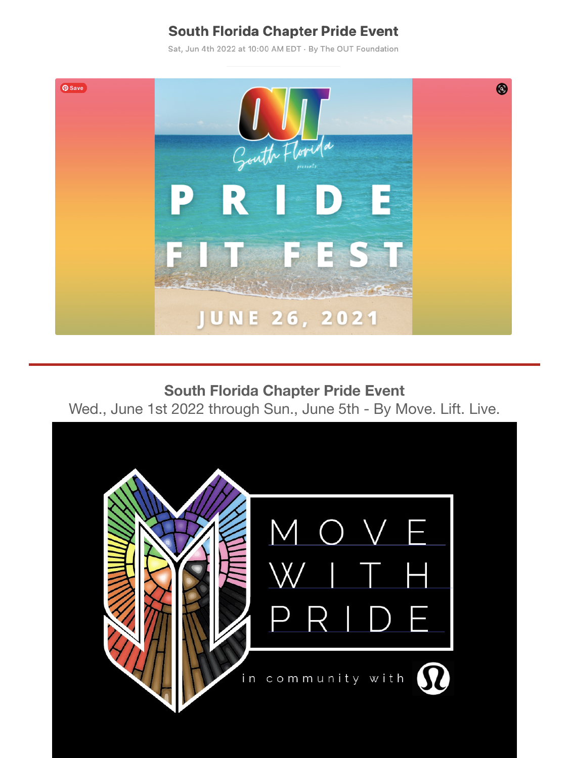# **South Florida Chapter Pride Event**

Sat, Jun 4th 2022 at 10:00 AM EDT · By The OUT Foundation



**South Florida Chapter Pride Event**  Wed., June 1st 2022 through Sun., June 5th - By Move. Lift. Live.

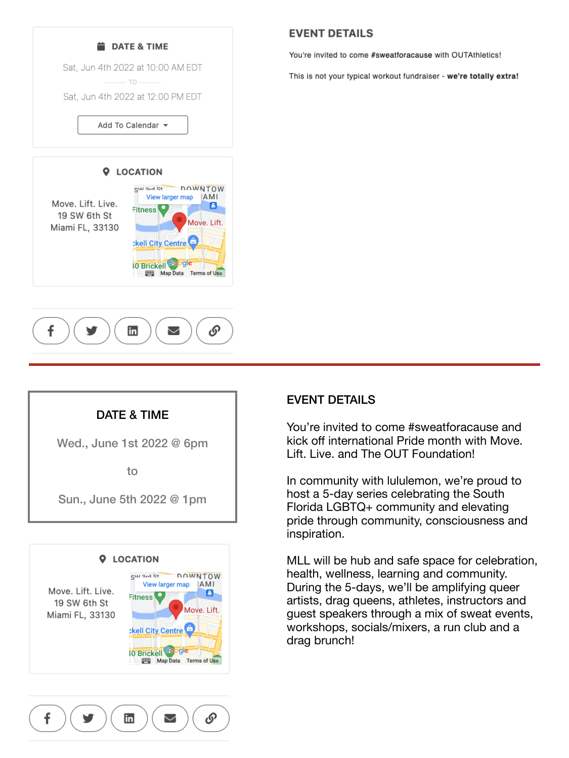



### DATE & TIME

Wed., June 1st 2022 @ 6pm

to

Sun., June 5th 2022 @ 1pm



### **EVENT DETAILS**

You're invited to come #sweatforacause with OUTAthletics!

This is not your typical workout fundraiser - we're totally extra!

#### EVENT DETAILS

You're invited to come #sweatforacause and kick off international Pride month with Move. Lift. Live. and The OUT Foundation!

In community with lululemon, we're proud to host a 5-day series celebrating the South Florida LGBTQ+ community and elevating pride through community, consciousness and inspiration.

MLL will be hub and safe space for celebration, health, wellness, learning and community. During the 5-days, we'll be amplifying queer artists, drag queens, athletes, instructors and guest speakers through a mix of sweat events, workshops, socials/mixers, a run club and a drag brunch!

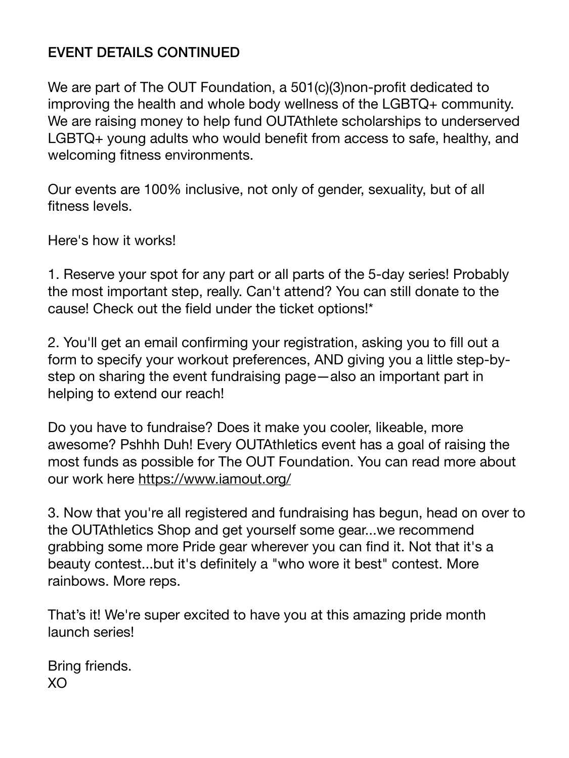# EVENT DETAILS CONTINUED

We are part of The OUT Foundation, a 501(c)(3)non-profit dedicated to improving the health and whole body wellness of the LGBTQ+ community. We are raising money to help fund OUTAthlete scholarships to underserved LGBTQ+ young adults who would benefit from access to safe, healthy, and welcoming fitness environments.

Our events are 100% inclusive, not only of gender, sexuality, but of all fitness levels.

Here's how it works!

1. Reserve your spot for any part or all parts of the 5-day series! Probably the most important step, really. Can't attend? You can still donate to the cause! Check out the field under the ticket options!\*

2. You'll get an email confirming your registration, asking you to fill out a form to specify your workout preferences, AND giving you a little step-bystep on sharing the event fundraising page—also an important part in helping to extend our reach!

Do you have to fundraise? Does it make you cooler, likeable, more awesome? Pshhh Duh! Every OUTAthletics event has a goal of raising the most funds as possible for The OUT Foundation. You can read more about our work here <https://www.iamout.org/>

3. Now that you're all registered and fundraising has begun, head on over to the OUTAthletics Shop and get yourself some gear...we recommend grabbing some more Pride gear wherever you can find it. Not that it's a beauty contest...but it's definitely a "who wore it best" contest. More rainbows. More reps.

That's it! We're super excited to have you at this amazing pride month launch series!

Bring friends. XO